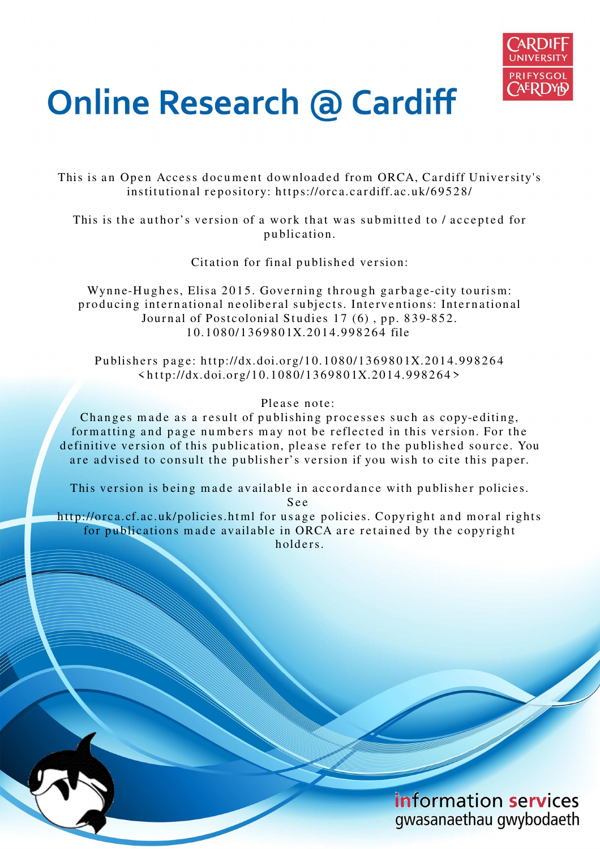

# **Online Research @ Cardiff**

This is an Open Access document downloaded from ORCA, Cardiff University's institutional repository: https://orca.cardiff.ac.uk/69528/

This is the author's version of a work that was submitted to / accepted for p u blication.

Citation for final published version:

Wynne-Hughes, Elisa 2015. Governing through garbage-city tourism: producing international neoliberal subjects. Interventions: International Journal of Postcolonial Studies 17 (6), pp. 839-852. 1 0.1 0 8 0/1 36 9 8 0 1X.20 1 4.99 8 2 6 4 file

Publishers page: http://dx.doi.org/10.1080/1369801X.2014.998264  $\langle \text{http://dx.doi.org/10.1080/1369801X.2014.998264>}$ 

#### Please note:

Changes made as a result of publishing processes such as copy-editing, formatting and page numbers may not be reflected in this version. For the definitive version of this publication, please refer to the published source. You are advised to consult the publisher's version if you wish to cite this paper.

This version is being made available in accordance with publisher policies. S e e

http://orca.cf.ac.uk/policies.html for usage policies. Copyright and moral rights for publications made available in ORCA are retained by the copyright holders

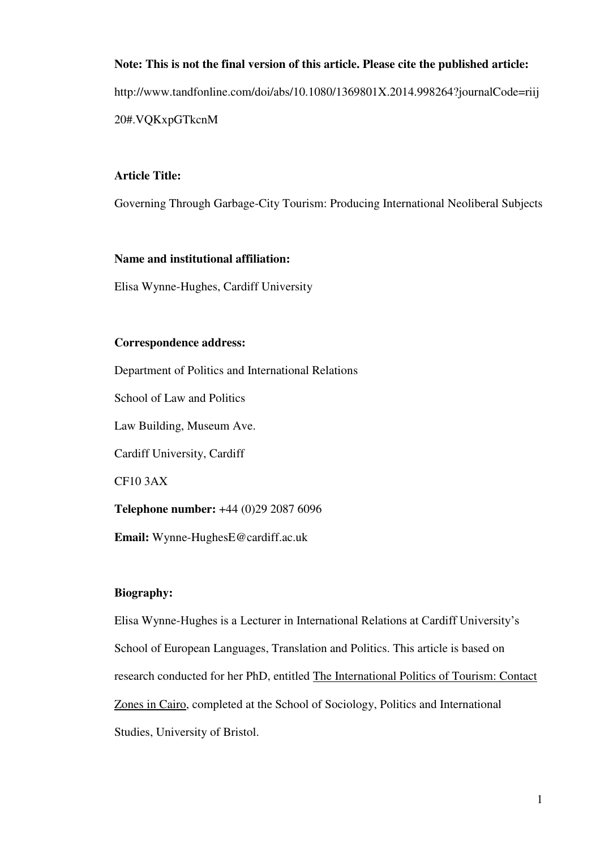# **Note: This is not the final version of this article. Please cite the published article:**  http://www.tandfonline.com/doi/abs/10.1080/1369801X.2014.998264?journalCode=riij 20#.VQKxpGTkcnM

# **Article Title:**

Governing Through Garbage-City Tourism: Producing International Neoliberal Subjects

# **Name and institutional affiliation:**

Elisa Wynne-Hughes, Cardiff University

## **Correspondence address:**

Department of Politics and International Relations School of Law and Politics Law Building, Museum Ave. Cardiff University, Cardiff CF10 3AX **Telephone number:** +44 (0)29 2087 6096 **Email:** Wynne-HughesE@cardiff.ac.uk

# **Biography:**

Elisa Wynne-Hughes is a Lecturer in International Relations at Cardiff University's School of European Languages, Translation and Politics. This article is based on research conducted for her PhD, entitled The International Politics of Tourism: Contact Zones in Cairo, completed at the School of Sociology, Politics and International Studies, University of Bristol.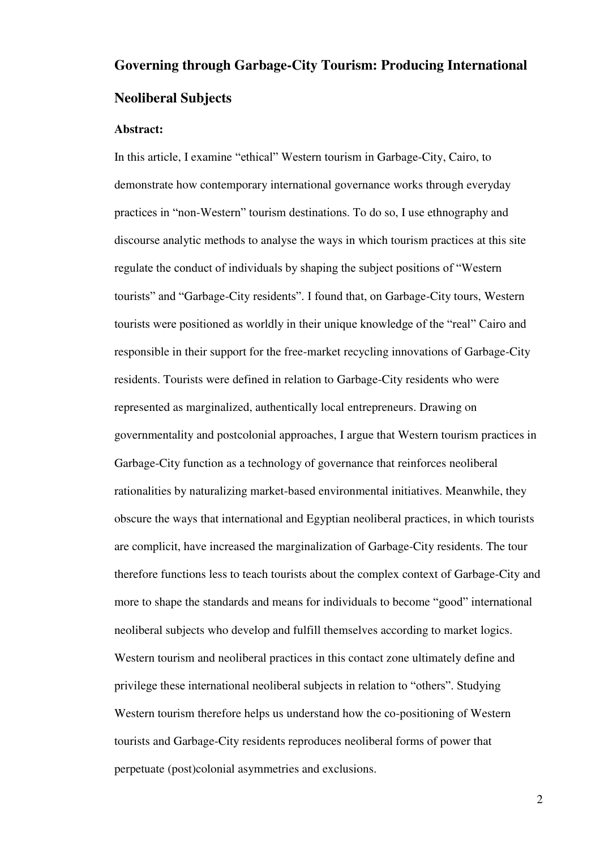# **Governing through Garbage-City Tourism: Producing International Neoliberal Subjects**

### **Abstract:**

In this article, I examine "ethical" Western tourism in Garbage-City, Cairo, to demonstrate how contemporary international governance works through everyday practices in "non-Western" tourism destinations. To do so, I use ethnography and discourse analytic methods to analyse the ways in which tourism practices at this site regulate the conduct of individuals by shaping the subject positions of "Western tourists" and "Garbage-City residents". I found that, on Garbage-City tours, Western tourists were positioned as worldly in their unique knowledge of the "real" Cairo and responsible in their support for the free-market recycling innovations of Garbage-City residents. Tourists were defined in relation to Garbage-City residents who were represented as marginalized, authentically local entrepreneurs. Drawing on governmentality and postcolonial approaches, I argue that Western tourism practices in Garbage-City function as a technology of governance that reinforces neoliberal rationalities by naturalizing market-based environmental initiatives. Meanwhile, they obscure the ways that international and Egyptian neoliberal practices, in which tourists are complicit, have increased the marginalization of Garbage-City residents. The tour therefore functions less to teach tourists about the complex context of Garbage-City and more to shape the standards and means for individuals to become "good" international neoliberal subjects who develop and fulfill themselves according to market logics. Western tourism and neoliberal practices in this contact zone ultimately define and privilege these international neoliberal subjects in relation to "others". Studying Western tourism therefore helps us understand how the co-positioning of Western tourists and Garbage-City residents reproduces neoliberal forms of power that perpetuate (post)colonial asymmetries and exclusions.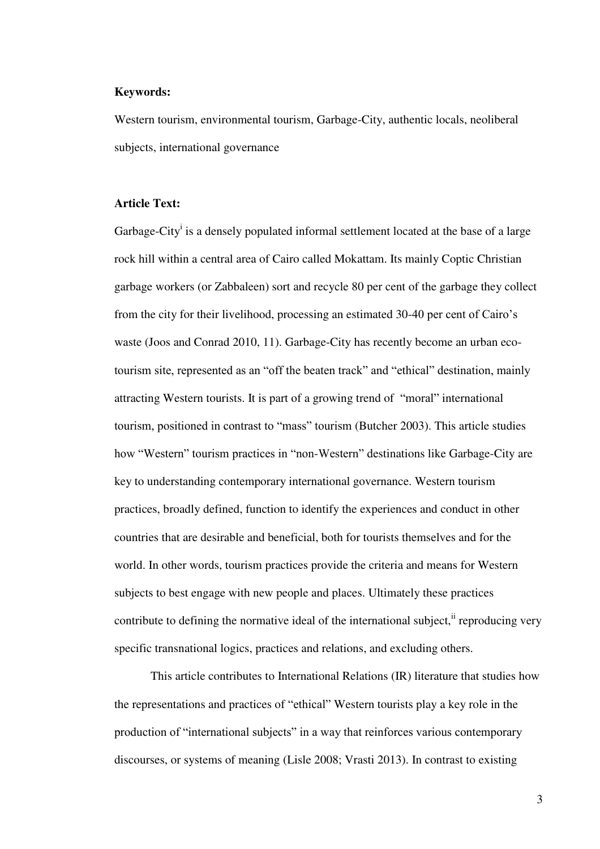#### **Keywords:**

Western tourism, environmental tourism, Garbage-City, authentic locals, neoliberal subjects, international governance

#### **Article Text:**

Garbage-City<sup>i</sup> is a densely populated informal settlement located at the base of a large rock hill within a central area of Cairo called Mokattam. Its mainly Coptic Christian garbage workers (or Zabbaleen) sort and recycle 80 per cent of the garbage they collect from the city for their livelihood, processing an estimated 30-40 per cent of Cairo's waste (Joos and Conrad 2010, 11). Garbage-City has recently become an urban ecotourism site, represented as an "off the beaten track" and "ethical" destination, mainly attracting Western tourists. It is part of a growing trend of "moral" international tourism, positioned in contrast to "mass" tourism (Butcher 2003). This article studies how "Western" tourism practices in "non-Western" destinations like Garbage-City are key to understanding contemporary international governance. Western tourism practices, broadly defined, function to identify the experiences and conduct in other countries that are desirable and beneficial, both for tourists themselves and for the world. In other words, tourism practices provide the criteria and means for Western subjects to best engage with new people and places. Ultimately these practices contribute to defining the normative ideal of the international subject,  $\ddot{h}$  reproducing very specific transnational logics, practices and relations, and excluding others.

This article contributes to International Relations (IR) literature that studies how the representations and practices of "ethical" Western tourists play a key role in the production of "international subjects" in a way that reinforces various contemporary discourses, or systems of meaning (Lisle 2008; Vrasti 2013). In contrast to existing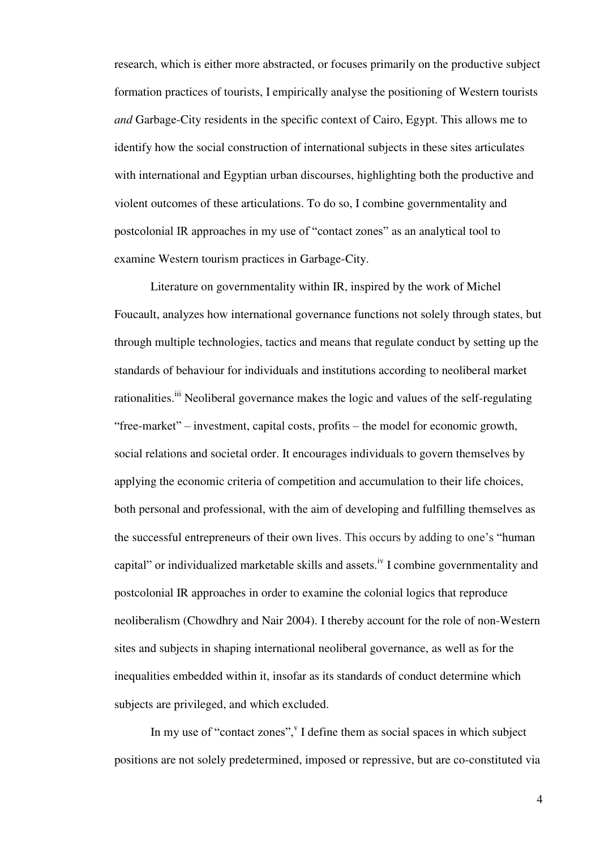research, which is either more abstracted, or focuses primarily on the productive subject formation practices of tourists, I empirically analyse the positioning of Western tourists *and* Garbage-City residents in the specific context of Cairo, Egypt. This allows me to identify how the social construction of international subjects in these sites articulates with international and Egyptian urban discourses, highlighting both the productive and violent outcomes of these articulations. To do so, I combine governmentality and postcolonial IR approaches in my use of "contact zones" as an analytical tool to examine Western tourism practices in Garbage-City.

Literature on governmentality within IR, inspired by the work of Michel Foucault, analyzes how international governance functions not solely through states, but through multiple technologies, tactics and means that regulate conduct by setting up the standards of behaviour for individuals and institutions according to neoliberal market rationalities.<sup>iii</sup> Neoliberal governance makes the logic and values of the self-regulating "free-market" – investment, capital costs, profits – the model for economic growth, social relations and societal order. It encourages individuals to govern themselves by applying the economic criteria of competition and accumulation to their life choices, both personal and professional, with the aim of developing and fulfilling themselves as the successful entrepreneurs of their own lives. This occurs by adding to one's "human capital" or individualized marketable skills and assets.<sup>iv</sup> I combine governmentality and postcolonial IR approaches in order to examine the colonial logics that reproduce neoliberalism (Chowdhry and Nair 2004). I thereby account for the role of non-Western sites and subjects in shaping international neoliberal governance, as well as for the inequalities embedded within it, insofar as its standards of conduct determine which subjects are privileged, and which excluded.

In my use of "contact zones", I define them as social spaces in which subject positions are not solely predetermined, imposed or repressive, but are co-constituted via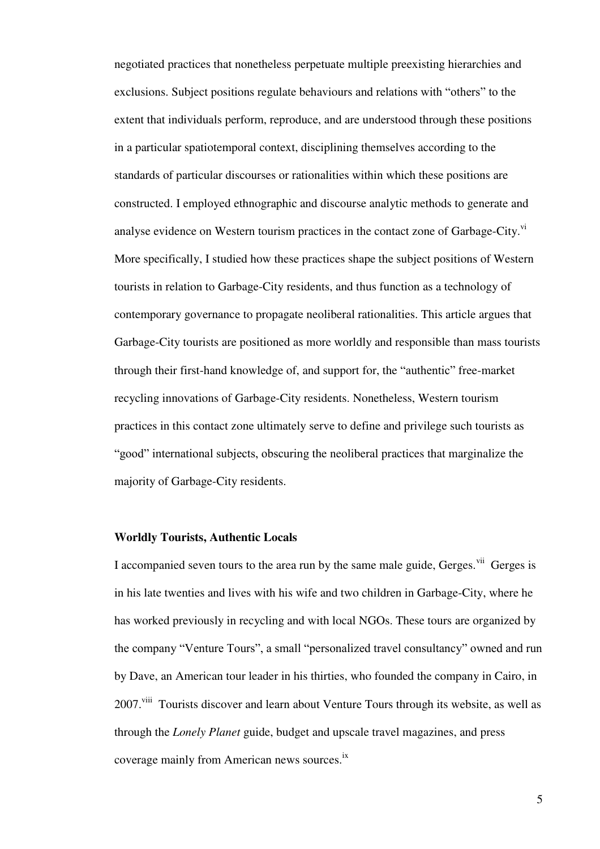negotiated practices that nonetheless perpetuate multiple preexisting hierarchies and exclusions. Subject positions regulate behaviours and relations with "others" to the extent that individuals perform, reproduce, and are understood through these positions in a particular spatiotemporal context, disciplining themselves according to the standards of particular discourses or rationalities within which these positions are constructed. I employed ethnographic and discourse analytic methods to generate and analyse evidence on Western tourism practices in the contact zone of Garbage-City. $\overline{v}$ <sup>i</sup> More specifically, I studied how these practices shape the subject positions of Western tourists in relation to Garbage-City residents, and thus function as a technology of contemporary governance to propagate neoliberal rationalities. This article argues that Garbage-City tourists are positioned as more worldly and responsible than mass tourists through their first-hand knowledge of, and support for, the "authentic" free-market recycling innovations of Garbage-City residents. Nonetheless, Western tourism practices in this contact zone ultimately serve to define and privilege such tourists as "good" international subjects, obscuring the neoliberal practices that marginalize the majority of Garbage-City residents.

# **Worldly Tourists, Authentic Locals**

I accompanied seven tours to the area run by the same male guide, Gerges.<sup>vii</sup> Gerges is in his late twenties and lives with his wife and two children in Garbage-City, where he has worked previously in recycling and with local NGOs. These tours are organized by the company "Venture Tours", a small "personalized travel consultancy" owned and run by Dave, an American tour leader in his thirties, who founded the company in Cairo, in 2007.<sup>viii</sup> Tourists discover and learn about Venture Tours through its website, as well as through the *Lonely Planet* guide, budget and upscale travel magazines, and press coverage mainly from American news sources.<sup>ix</sup>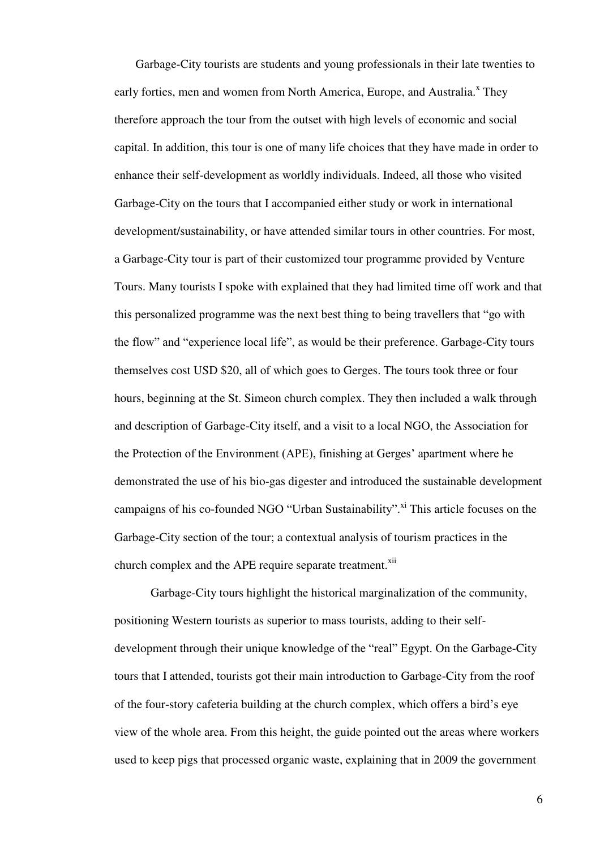Garbage-City tourists are students and young professionals in their late twenties to early forties, men and women from North America, Europe, and Australia.<sup>x</sup> They therefore approach the tour from the outset with high levels of economic and social capital. In addition, this tour is one of many life choices that they have made in order to enhance their self-development as worldly individuals. Indeed, all those who visited Garbage-City on the tours that I accompanied either study or work in international development/sustainability, or have attended similar tours in other countries. For most, a Garbage-City tour is part of their customized tour programme provided by Venture Tours. Many tourists I spoke with explained that they had limited time off work and that this personalized programme was the next best thing to being travellers that "go with the flow" and "experience local life", as would be their preference. Garbage-City tours themselves cost USD \$20, all of which goes to Gerges. The tours took three or four hours, beginning at the St. Simeon church complex. They then included a walk through and description of Garbage-City itself, and a visit to a local NGO, the Association for the Protection of the Environment (APE), finishing at Gerges' apartment where he demonstrated the use of his bio-gas digester and introduced the sustainable development campaigns of his co-founded NGO "Urban Sustainability".<sup>xi</sup> This article focuses on the Garbage-City section of the tour; a contextual analysis of tourism practices in the church complex and the APE require separate treatment.<sup>xii</sup>

Garbage-City tours highlight the historical marginalization of the community, positioning Western tourists as superior to mass tourists, adding to their selfdevelopment through their unique knowledge of the "real" Egypt. On the Garbage-City tours that I attended, tourists got their main introduction to Garbage-City from the roof of the four-story cafeteria building at the church complex, which offers a bird's eye view of the whole area. From this height, the guide pointed out the areas where workers used to keep pigs that processed organic waste, explaining that in 2009 the government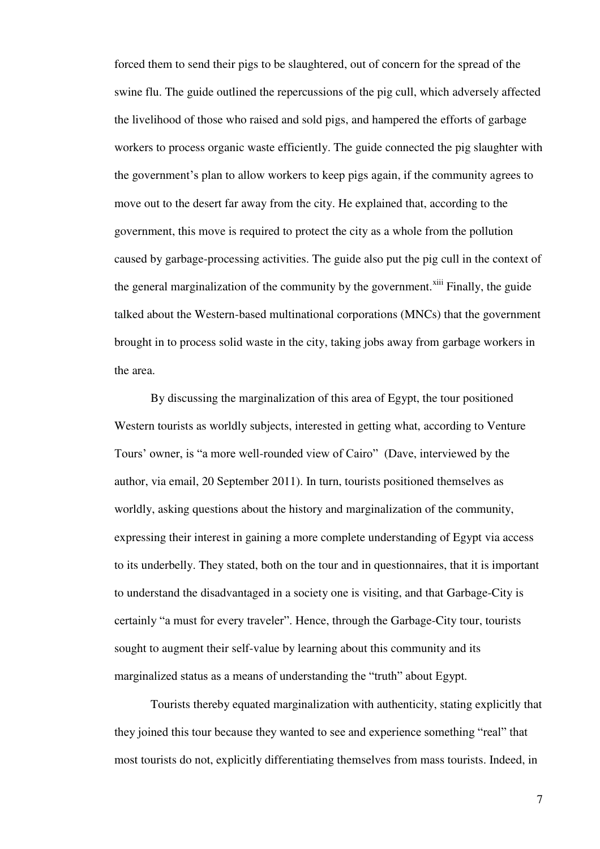forced them to send their pigs to be slaughtered, out of concern for the spread of the swine flu. The guide outlined the repercussions of the pig cull, which adversely affected the livelihood of those who raised and sold pigs, and hampered the efforts of garbage workers to process organic waste efficiently. The guide connected the pig slaughter with the government's plan to allow workers to keep pigs again, if the community agrees to move out to the desert far away from the city. He explained that, according to the government, this move is required to protect the city as a whole from the pollution caused by garbage-processing activities. The guide also put the pig cull in the context of the general marginalization of the community by the government.<sup>xiii</sup> Finally, the guide talked about the Western-based multinational corporations (MNCs) that the government brought in to process solid waste in the city, taking jobs away from garbage workers in the area.

By discussing the marginalization of this area of Egypt, the tour positioned Western tourists as worldly subjects, interested in getting what, according to Venture Tours' owner, is "a more well-rounded view of Cairo" (Dave, interviewed by the author, via email, 20 September 2011). In turn, tourists positioned themselves as worldly, asking questions about the history and marginalization of the community, expressing their interest in gaining a more complete understanding of Egypt via access to its underbelly. They stated, both on the tour and in questionnaires, that it is important to understand the disadvantaged in a society one is visiting, and that Garbage-City is certainly "a must for every traveler". Hence, through the Garbage-City tour, tourists sought to augment their self-value by learning about this community and its marginalized status as a means of understanding the "truth" about Egypt.

Tourists thereby equated marginalization with authenticity, stating explicitly that they joined this tour because they wanted to see and experience something "real" that most tourists do not, explicitly differentiating themselves from mass tourists. Indeed, in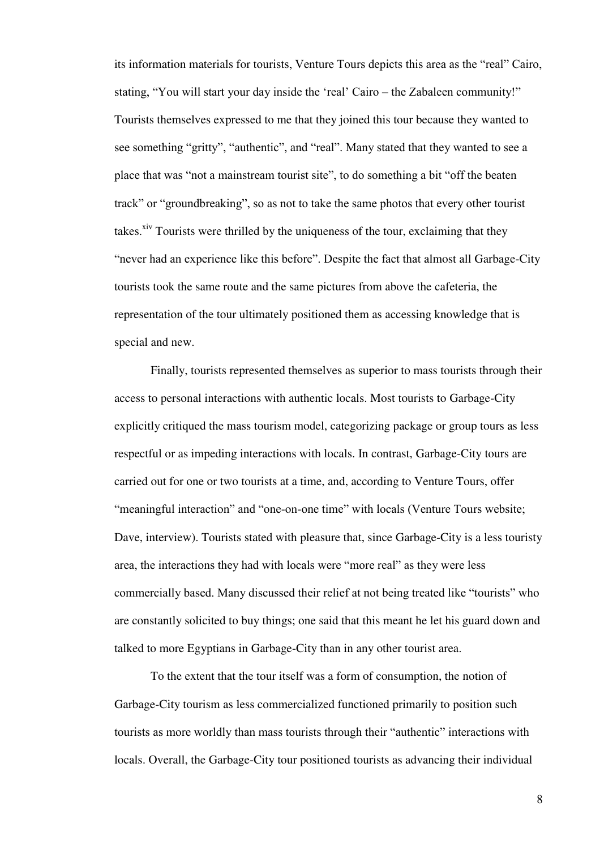its information materials for tourists, Venture Tours depicts this area as the "real" Cairo, stating, "You will start your day inside the 'real' Cairo – the Zabaleen community!" Tourists themselves expressed to me that they joined this tour because they wanted to see something "gritty", "authentic", and "real". Many stated that they wanted to see a place that was "not a mainstream tourist site", to do something a bit "off the beaten track" or "groundbreaking", so as not to take the same photos that every other tourist takes.<sup>xiv</sup> Tourists were thrilled by the uniqueness of the tour, exclaiming that they "never had an experience like this before". Despite the fact that almost all Garbage-City tourists took the same route and the same pictures from above the cafeteria, the representation of the tour ultimately positioned them as accessing knowledge that is special and new.

Finally, tourists represented themselves as superior to mass tourists through their access to personal interactions with authentic locals. Most tourists to Garbage-City explicitly critiqued the mass tourism model, categorizing package or group tours as less respectful or as impeding interactions with locals. In contrast, Garbage-City tours are carried out for one or two tourists at a time, and, according to Venture Tours, offer "meaningful interaction" and "one-on-one time" with locals (Venture Tours website; Dave, interview). Tourists stated with pleasure that, since Garbage-City is a less touristy area, the interactions they had with locals were "more real" as they were less commercially based. Many discussed their relief at not being treated like "tourists" who are constantly solicited to buy things; one said that this meant he let his guard down and talked to more Egyptians in Garbage-City than in any other tourist area.

To the extent that the tour itself was a form of consumption, the notion of Garbage-City tourism as less commercialized functioned primarily to position such tourists as more worldly than mass tourists through their "authentic" interactions with locals. Overall, the Garbage-City tour positioned tourists as advancing their individual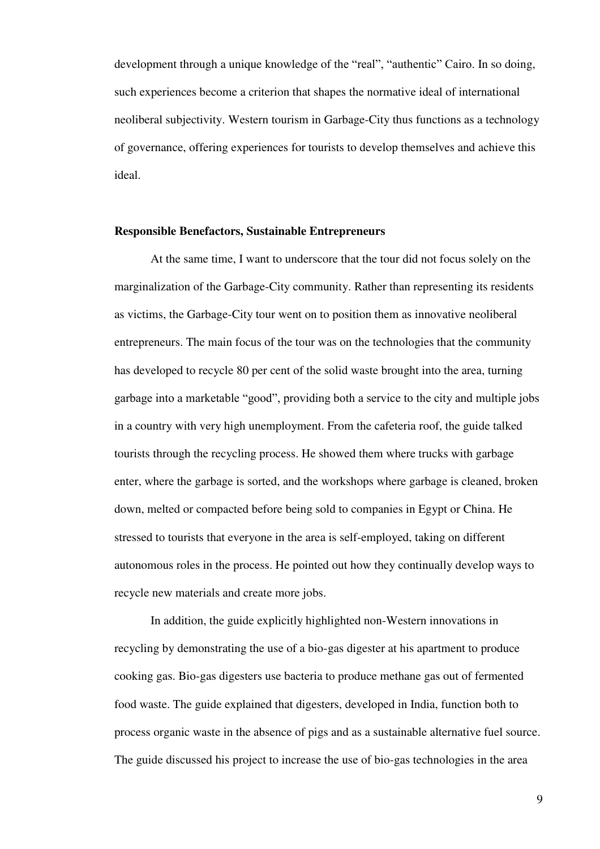development through a unique knowledge of the "real", "authentic" Cairo. In so doing, such experiences become a criterion that shapes the normative ideal of international neoliberal subjectivity. Western tourism in Garbage-City thus functions as a technology of governance, offering experiences for tourists to develop themselves and achieve this ideal.

#### **Responsible Benefactors, Sustainable Entrepreneurs**

At the same time, I want to underscore that the tour did not focus solely on the marginalization of the Garbage-City community. Rather than representing its residents as victims, the Garbage-City tour went on to position them as innovative neoliberal entrepreneurs. The main focus of the tour was on the technologies that the community has developed to recycle 80 per cent of the solid waste brought into the area, turning garbage into a marketable "good", providing both a service to the city and multiple jobs in a country with very high unemployment. From the cafeteria roof, the guide talked tourists through the recycling process. He showed them where trucks with garbage enter, where the garbage is sorted, and the workshops where garbage is cleaned, broken down, melted or compacted before being sold to companies in Egypt or China. He stressed to tourists that everyone in the area is self-employed, taking on different autonomous roles in the process. He pointed out how they continually develop ways to recycle new materials and create more jobs.

In addition, the guide explicitly highlighted non-Western innovations in recycling by demonstrating the use of a bio-gas digester at his apartment to produce cooking gas. Bio-gas digesters use bacteria to produce methane gas out of fermented food waste. The guide explained that digesters, developed in India, function both to process organic waste in the absence of pigs and as a sustainable alternative fuel source. The guide discussed his project to increase the use of bio-gas technologies in the area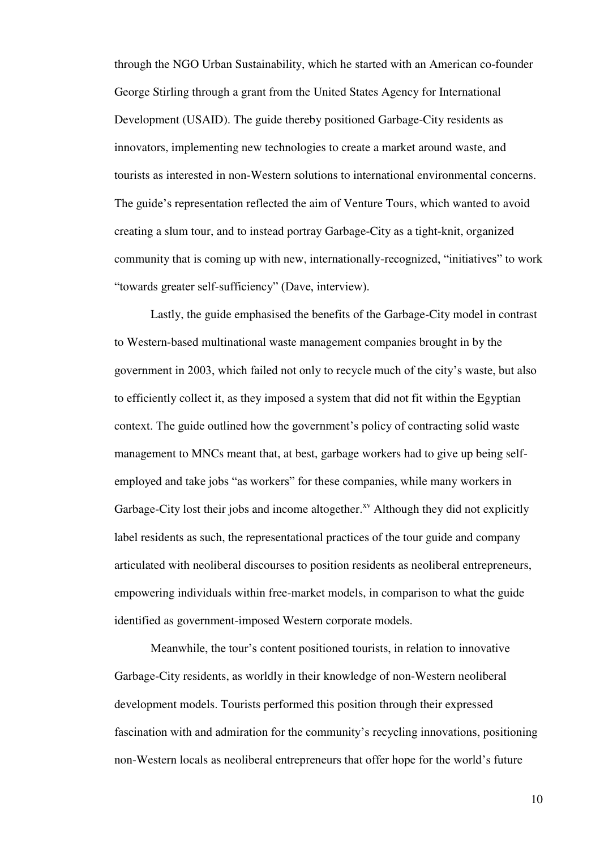through the NGO Urban Sustainability, which he started with an American co-founder George Stirling through a grant from the United States Agency for International Development (USAID). The guide thereby positioned Garbage-City residents as innovators, implementing new technologies to create a market around waste, and tourists as interested in non-Western solutions to international environmental concerns. The guide's representation reflected the aim of Venture Tours, which wanted to avoid creating a slum tour, and to instead portray Garbage-City as a tight-knit, organized community that is coming up with new, internationally-recognized, "initiatives" to work "towards greater self-sufficiency" (Dave, interview).

Lastly, the guide emphasised the benefits of the Garbage-City model in contrast to Western-based multinational waste management companies brought in by the government in 2003, which failed not only to recycle much of the city's waste, but also to efficiently collect it, as they imposed a system that did not fit within the Egyptian context. The guide outlined how the government's policy of contracting solid waste management to MNCs meant that, at best, garbage workers had to give up being selfemployed and take jobs "as workers" for these companies, while many workers in Garbage-City lost their jobs and income altogether. $^{xy}$  Although they did not explicitly label residents as such, the representational practices of the tour guide and company articulated with neoliberal discourses to position residents as neoliberal entrepreneurs, empowering individuals within free-market models, in comparison to what the guide identified as government-imposed Western corporate models.

Meanwhile, the tour's content positioned tourists, in relation to innovative Garbage-City residents, as worldly in their knowledge of non-Western neoliberal development models. Tourists performed this position through their expressed fascination with and admiration for the community's recycling innovations, positioning non-Western locals as neoliberal entrepreneurs that offer hope for the world's future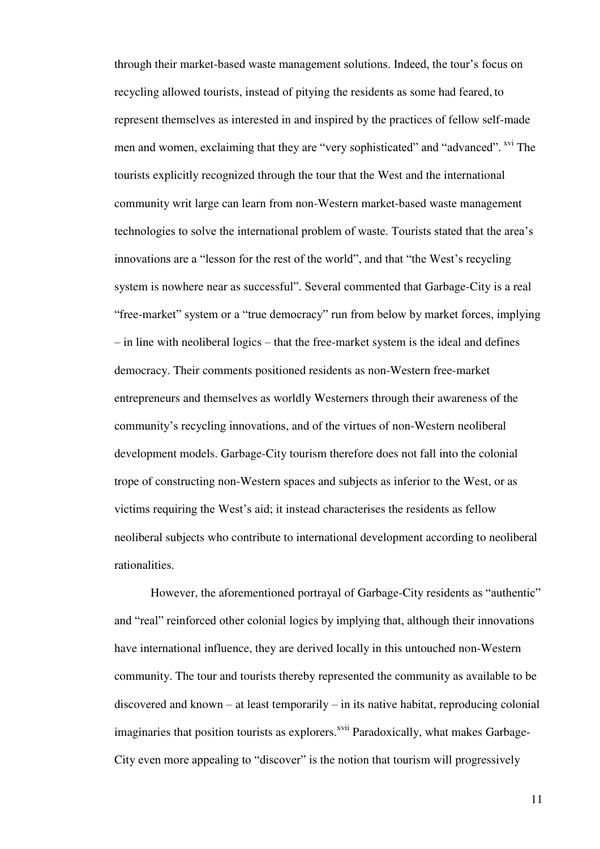through their market-based waste management solutions. Indeed, the tour's focus on recycling allowed tourists, instead of pitying the residents as some had feared, to represent themselves as interested in and inspired by the practices of fellow self-made men and women, exclaiming that they are "very sophisticated" and "advanced". <sup>xvi</sup> The tourists explicitly recognized through the tour that the West and the international community writ large can learn from non-Western market-based waste management technologies to solve the international problem of waste. Tourists stated that the area's innovations are a "lesson for the rest of the world", and that "the West's recycling system is nowhere near as successful". Several commented that Garbage-City is a real "free-market" system or a "true democracy" run from below by market forces, implying – in line with neoliberal logics – that the free-market system is the ideal and defines democracy. Their comments positioned residents as non-Western free-market entrepreneurs and themselves as worldly Westerners through their awareness of the community's recycling innovations, and of the virtues of non-Western neoliberal development models. Garbage-City tourism therefore does not fall into the colonial trope of constructing non-Western spaces and subjects as inferior to the West, or as victims requiring the West's aid; it instead characterises the residents as fellow neoliberal subjects who contribute to international development according to neoliberal rationalities.

However, the aforementioned portrayal of Garbage-City residents as "authentic" and "real" reinforced other colonial logics by implying that, although their innovations have international influence, they are derived locally in this untouched non-Western community. The tour and tourists thereby represented the community as available to be discovered and known – at least temporarily – in its native habitat, reproducing colonial imaginaries that position tourists as explorers.<sup>xvii</sup> Paradoxically, what makes Garbage-City even more appealing to "discover" is the notion that tourism will progressively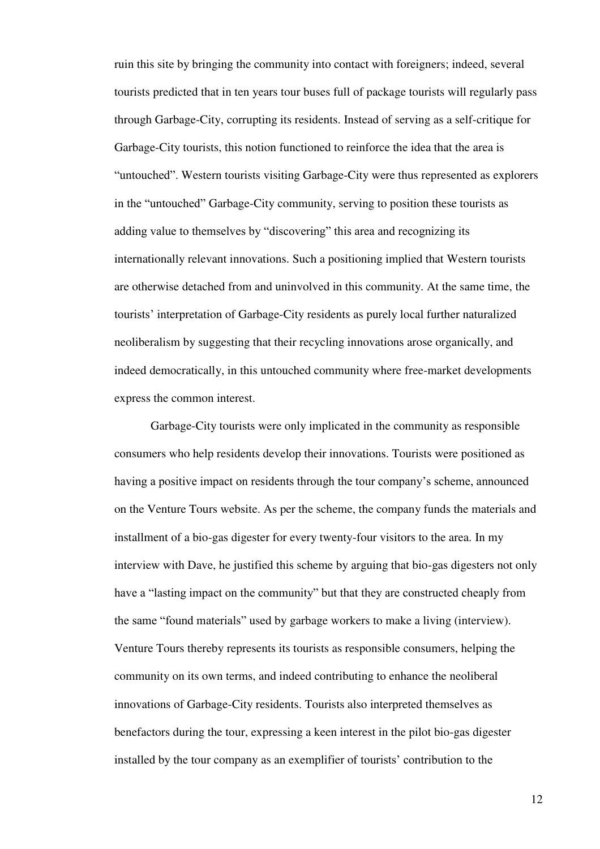ruin this site by bringing the community into contact with foreigners; indeed, several tourists predicted that in ten years tour buses full of package tourists will regularly pass through Garbage-City, corrupting its residents. Instead of serving as a self-critique for Garbage-City tourists, this notion functioned to reinforce the idea that the area is "untouched". Western tourists visiting Garbage-City were thus represented as explorers in the "untouched" Garbage-City community, serving to position these tourists as adding value to themselves by "discovering" this area and recognizing its internationally relevant innovations. Such a positioning implied that Western tourists are otherwise detached from and uninvolved in this community. At the same time, the tourists' interpretation of Garbage-City residents as purely local further naturalized neoliberalism by suggesting that their recycling innovations arose organically, and indeed democratically, in this untouched community where free-market developments express the common interest.

Garbage-City tourists were only implicated in the community as responsible consumers who help residents develop their innovations. Tourists were positioned as having a positive impact on residents through the tour company's scheme, announced on the Venture Tours website. As per the scheme, the company funds the materials and installment of a bio-gas digester for every twenty-four visitors to the area. In my interview with Dave, he justified this scheme by arguing that bio-gas digesters not only have a "lasting impact on the community" but that they are constructed cheaply from the same "found materials" used by garbage workers to make a living (interview). Venture Tours thereby represents its tourists as responsible consumers, helping the community on its own terms, and indeed contributing to enhance the neoliberal innovations of Garbage-City residents. Tourists also interpreted themselves as benefactors during the tour, expressing a keen interest in the pilot bio-gas digester installed by the tour company as an exemplifier of tourists' contribution to the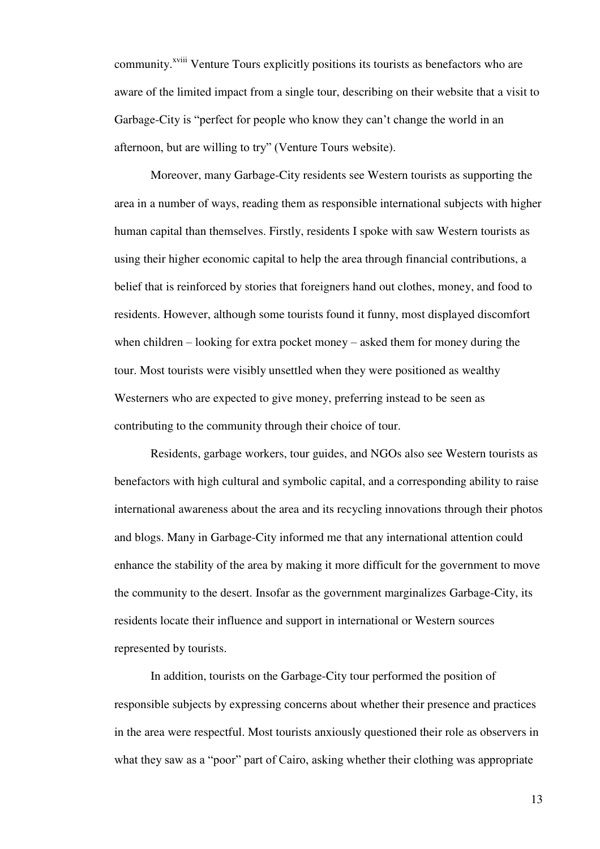community.<sup>xviii</sup> Venture Tours explicitly positions its tourists as benefactors who are aware of the limited impact from a single tour, describing on their website that a visit to Garbage-City is "perfect for people who know they can't change the world in an afternoon, but are willing to try" (Venture Tours website).

Moreover, many Garbage-City residents see Western tourists as supporting the area in a number of ways, reading them as responsible international subjects with higher human capital than themselves. Firstly, residents I spoke with saw Western tourists as using their higher economic capital to help the area through financial contributions, a belief that is reinforced by stories that foreigners hand out clothes, money, and food to residents. However, although some tourists found it funny, most displayed discomfort when children – looking for extra pocket money – asked them for money during the tour. Most tourists were visibly unsettled when they were positioned as wealthy Westerners who are expected to give money, preferring instead to be seen as contributing to the community through their choice of tour.

Residents, garbage workers, tour guides, and NGOs also see Western tourists as benefactors with high cultural and symbolic capital, and a corresponding ability to raise international awareness about the area and its recycling innovations through their photos and blogs. Many in Garbage-City informed me that any international attention could enhance the stability of the area by making it more difficult for the government to move the community to the desert. Insofar as the government marginalizes Garbage-City, its residents locate their influence and support in international or Western sources represented by tourists.

In addition, tourists on the Garbage-City tour performed the position of responsible subjects by expressing concerns about whether their presence and practices in the area were respectful. Most tourists anxiously questioned their role as observers in what they saw as a "poor" part of Cairo, asking whether their clothing was appropriate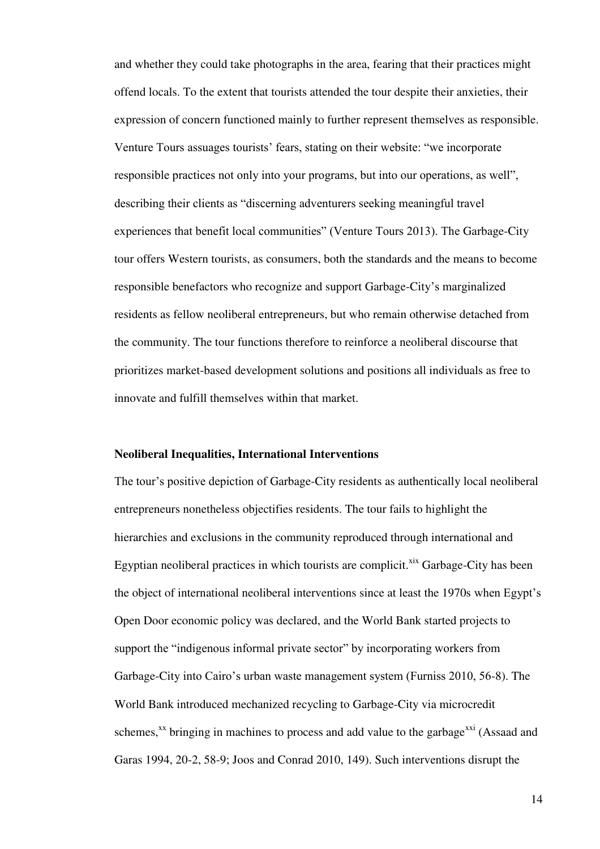and whether they could take photographs in the area, fearing that their practices might offend locals. To the extent that tourists attended the tour despite their anxieties, their expression of concern functioned mainly to further represent themselves as responsible. Venture Tours assuages tourists' fears, stating on their website: "we incorporate responsible practices not only into your programs, but into our operations, as well", describing their clients as "discerning adventurers seeking meaningful travel experiences that benefit local communities" (Venture Tours 2013). The Garbage-City tour offers Western tourists, as consumers, both the standards and the means to become responsible benefactors who recognize and support Garbage-City's marginalized residents as fellow neoliberal entrepreneurs, but who remain otherwise detached from the community. The tour functions therefore to reinforce a neoliberal discourse that prioritizes market-based development solutions and positions all individuals as free to innovate and fulfill themselves within that market.

## **Neoliberal Inequalities, International Interventions**

The tour's positive depiction of Garbage-City residents as authentically local neoliberal entrepreneurs nonetheless objectifies residents. The tour fails to highlight the hierarchies and exclusions in the community reproduced through international and Egyptian neoliberal practices in which tourists are complicit.<sup> $\overline{x}$ </sup> Garbage-City has been the object of international neoliberal interventions since at least the 1970s when Egypt's Open Door economic policy was declared, and the World Bank started projects to support the "indigenous informal private sector" by incorporating workers from Garbage-City into Cairo's urban waste management system (Furniss 2010, 56-8). The World Bank introduced mechanized recycling to Garbage-City via microcredit schemes, $^{xx}$  bringing in machines to process and add value to the garbage $^{xxi}$  (Assaad and Garas 1994, 20-2, 58-9; Joos and Conrad 2010, 149). Such interventions disrupt the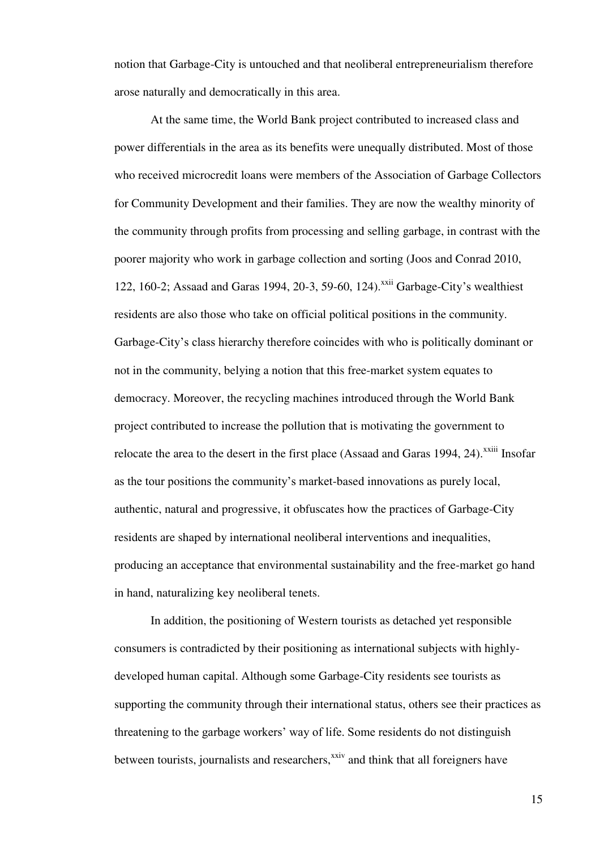notion that Garbage-City is untouched and that neoliberal entrepreneurialism therefore arose naturally and democratically in this area.

At the same time, the World Bank project contributed to increased class and power differentials in the area as its benefits were unequally distributed. Most of those who received microcredit loans were members of the Association of Garbage Collectors for Community Development and their families. They are now the wealthy minority of the community through profits from processing and selling garbage, in contrast with the poorer majority who work in garbage collection and sorting (Joos and Conrad 2010, 122, 160-2; Assaad and Garas 1994, 20-3, 59-60, 124).<sup>xxii</sup> Garbage-City's wealthiest residents are also those who take on official political positions in the community. Garbage-City's class hierarchy therefore coincides with who is politically dominant or not in the community, belying a notion that this free-market system equates to democracy. Moreover, the recycling machines introduced through the World Bank project contributed to increase the pollution that is motivating the government to relocate the area to the desert in the first place (Assaad and Garas 1994, 24).<sup> $x$ xiii</sup> Insofar as the tour positions the community's market-based innovations as purely local, authentic, natural and progressive, it obfuscates how the practices of Garbage-City residents are shaped by international neoliberal interventions and inequalities, producing an acceptance that environmental sustainability and the free-market go hand in hand, naturalizing key neoliberal tenets.

 In addition, the positioning of Western tourists as detached yet responsible consumers is contradicted by their positioning as international subjects with highlydeveloped human capital. Although some Garbage-City residents see tourists as supporting the community through their international status, others see their practices as threatening to the garbage workers' way of life. Some residents do not distinguish between tourists, journalists and researchers,<sup>xxiv</sup> and think that all foreigners have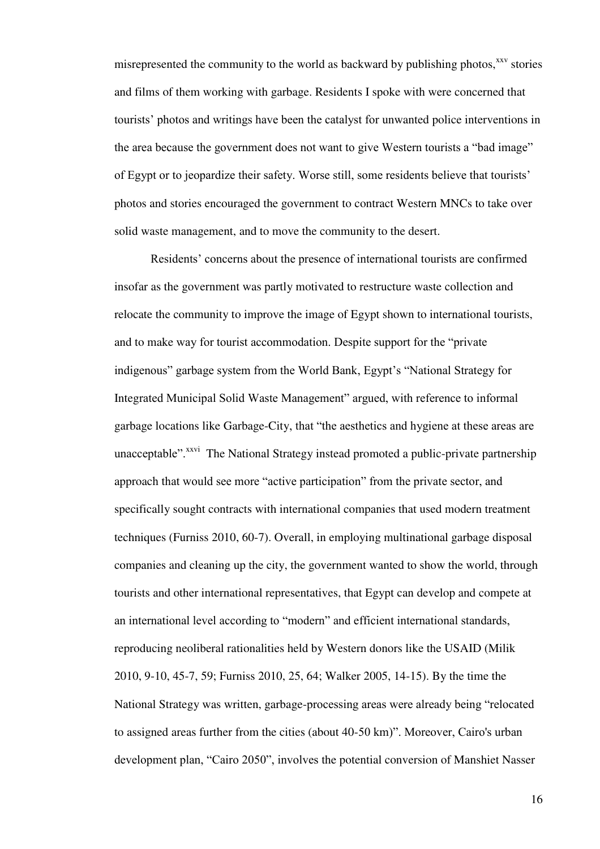misrepresented the community to the world as backward by publishing photos, $x^{xx}$  stories and films of them working with garbage. Residents I spoke with were concerned that tourists' photos and writings have been the catalyst for unwanted police interventions in the area because the government does not want to give Western tourists a "bad image" of Egypt or to jeopardize their safety. Worse still, some residents believe that tourists' photos and stories encouraged the government to contract Western MNCs to take over solid waste management, and to move the community to the desert.

Residents' concerns about the presence of international tourists are confirmed insofar as the government was partly motivated to restructure waste collection and relocate the community to improve the image of Egypt shown to international tourists, and to make way for tourist accommodation. Despite support for the "private indigenous" garbage system from the World Bank, Egypt's "National Strategy for Integrated Municipal Solid Waste Management" argued, with reference to informal garbage locations like Garbage-City, that "the aesthetics and hygiene at these areas are unacceptable".<sup>xxvi</sup> The National Strategy instead promoted a public-private partnership approach that would see more "active participation" from the private sector, and specifically sought contracts with international companies that used modern treatment techniques (Furniss 2010, 60-7). Overall, in employing multinational garbage disposal companies and cleaning up the city, the government wanted to show the world, through tourists and other international representatives, that Egypt can develop and compete at an international level according to "modern" and efficient international standards, reproducing neoliberal rationalities held by Western donors like the USAID (Milik 2010, 9-10, 45-7, 59; Furniss 2010, 25, 64; Walker 2005, 14-15). By the time the National Strategy was written, garbage-processing areas were already being "relocated to assigned areas further from the cities (about 40-50 km)". Moreover, Cairo's urban development plan, "Cairo 2050", involves the potential conversion of Manshiet Nasser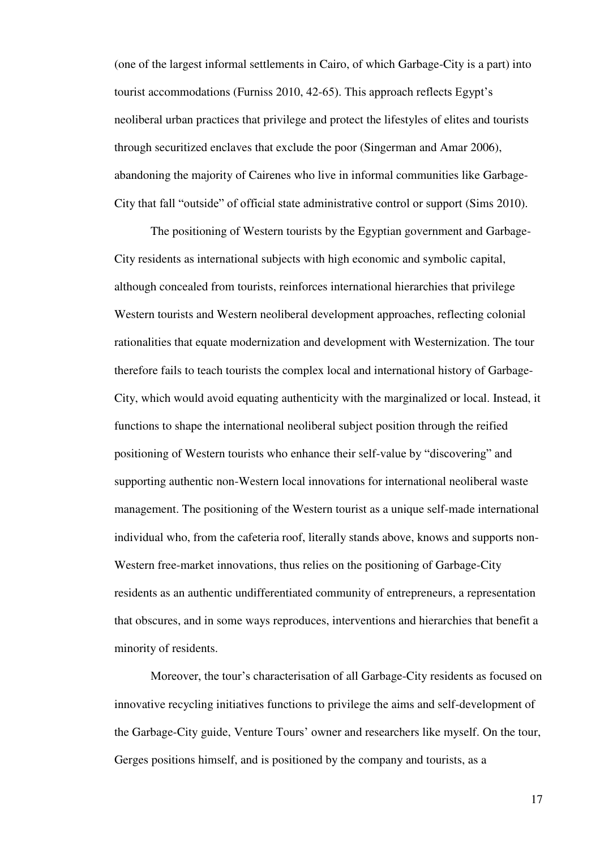(one of the largest informal settlements in Cairo, of which Garbage-City is a part) into tourist accommodations (Furniss 2010, 42-65). This approach reflects Egypt's neoliberal urban practices that privilege and protect the lifestyles of elites and tourists through securitized enclaves that exclude the poor (Singerman and Amar 2006), abandoning the majority of Cairenes who live in informal communities like Garbage-City that fall "outside" of official state administrative control or support (Sims 2010).

The positioning of Western tourists by the Egyptian government and Garbage-City residents as international subjects with high economic and symbolic capital, although concealed from tourists, reinforces international hierarchies that privilege Western tourists and Western neoliberal development approaches, reflecting colonial rationalities that equate modernization and development with Westernization. The tour therefore fails to teach tourists the complex local and international history of Garbage-City, which would avoid equating authenticity with the marginalized or local. Instead, it functions to shape the international neoliberal subject position through the reified positioning of Western tourists who enhance their self-value by "discovering" and supporting authentic non-Western local innovations for international neoliberal waste management. The positioning of the Western tourist as a unique self-made international individual who, from the cafeteria roof, literally stands above, knows and supports non-Western free-market innovations, thus relies on the positioning of Garbage-City residents as an authentic undifferentiated community of entrepreneurs, a representation that obscures, and in some ways reproduces, interventions and hierarchies that benefit a minority of residents.

Moreover, the tour's characterisation of all Garbage-City residents as focused on innovative recycling initiatives functions to privilege the aims and self-development of the Garbage-City guide, Venture Tours' owner and researchers like myself. On the tour, Gerges positions himself, and is positioned by the company and tourists, as a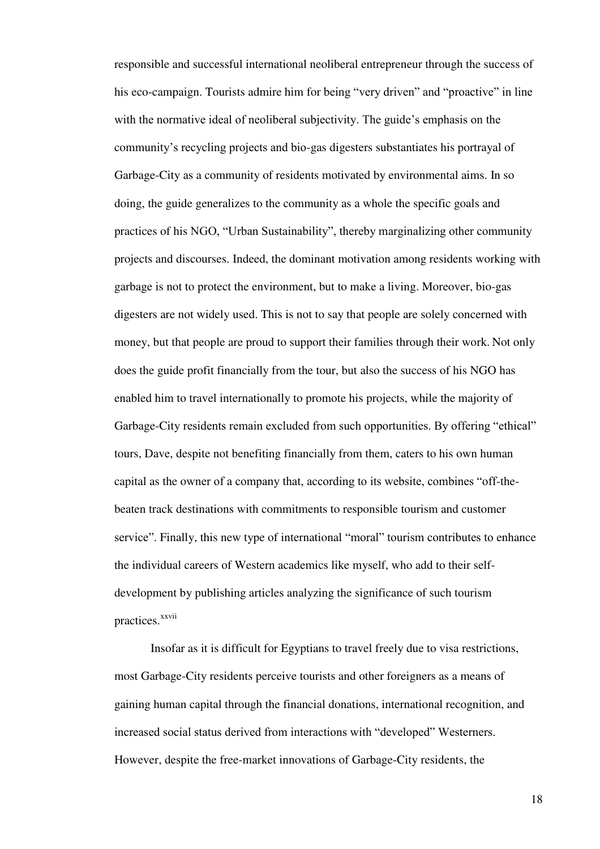responsible and successful international neoliberal entrepreneur through the success of his eco-campaign. Tourists admire him for being "very driven" and "proactive" in line with the normative ideal of neoliberal subjectivity. The guide's emphasis on the community's recycling projects and bio-gas digesters substantiates his portrayal of Garbage-City as a community of residents motivated by environmental aims. In so doing, the guide generalizes to the community as a whole the specific goals and practices of his NGO, "Urban Sustainability", thereby marginalizing other community projects and discourses. Indeed, the dominant motivation among residents working with garbage is not to protect the environment, but to make a living. Moreover, bio-gas digesters are not widely used. This is not to say that people are solely concerned with money, but that people are proud to support their families through their work. Not only does the guide profit financially from the tour, but also the success of his NGO has enabled him to travel internationally to promote his projects, while the majority of Garbage-City residents remain excluded from such opportunities. By offering "ethical" tours, Dave, despite not benefiting financially from them, caters to his own human capital as the owner of a company that, according to its website, combines "off-thebeaten track destinations with commitments to responsible tourism and customer service". Finally, this new type of international "moral" tourism contributes to enhance the individual careers of Western academics like myself, who add to their selfdevelopment by publishing articles analyzing the significance of such tourism practices.<sup>xxvii</sup>

Insofar as it is difficult for Egyptians to travel freely due to visa restrictions, most Garbage-City residents perceive tourists and other foreigners as a means of gaining human capital through the financial donations, international recognition, and increased social status derived from interactions with "developed" Westerners. However, despite the free-market innovations of Garbage-City residents, the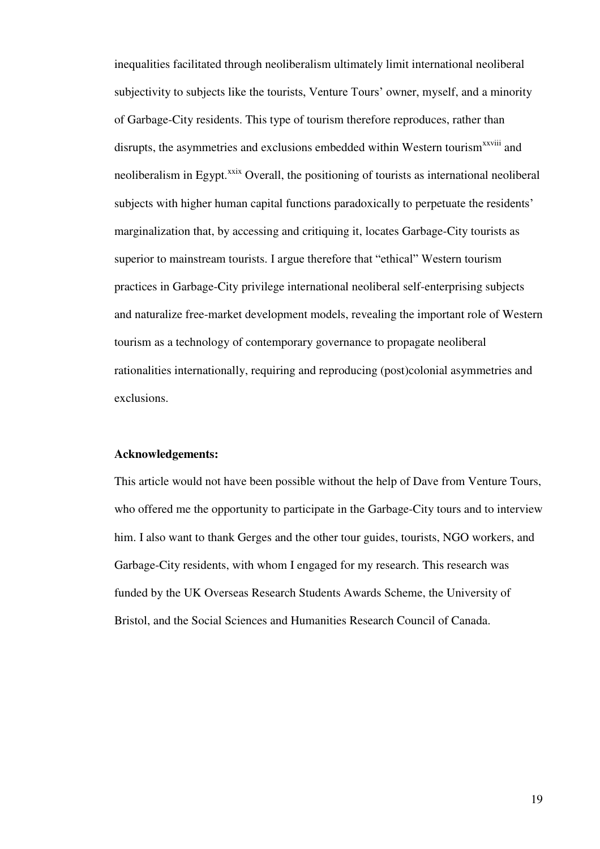inequalities facilitated through neoliberalism ultimately limit international neoliberal subjectivity to subjects like the tourists, Venture Tours' owner, myself, and a minority of Garbage-City residents. This type of tourism therefore reproduces, rather than disrupts, the asymmetries and exclusions embedded within Western tourism<sup>xxviii</sup> and neoliberalism in Egypt.<sup>xxix</sup> Overall, the positioning of tourists as international neoliberal subjects with higher human capital functions paradoxically to perpetuate the residents' marginalization that, by accessing and critiquing it, locates Garbage-City tourists as superior to mainstream tourists. I argue therefore that "ethical" Western tourism practices in Garbage-City privilege international neoliberal self-enterprising subjects and naturalize free-market development models, revealing the important role of Western tourism as a technology of contemporary governance to propagate neoliberal rationalities internationally, requiring and reproducing (post)colonial asymmetries and exclusions.

#### **Acknowledgements:**

This article would not have been possible without the help of Dave from Venture Tours, who offered me the opportunity to participate in the Garbage-City tours and to interview him. I also want to thank Gerges and the other tour guides, tourists, NGO workers, and Garbage-City residents, with whom I engaged for my research. This research was funded by the UK Overseas Research Students Awards Scheme, the University of Bristol, and the Social Sciences and Humanities Research Council of Canada.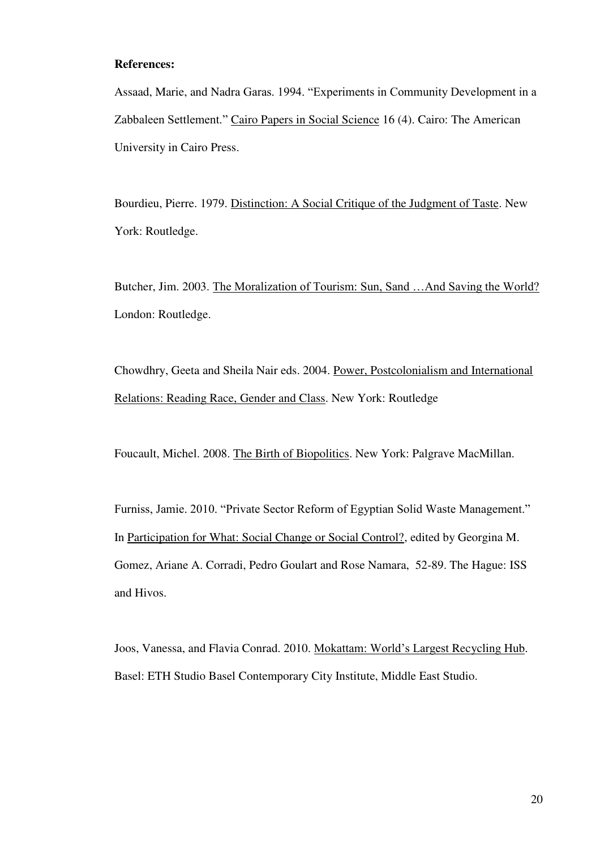#### **References:**

Assaad, Marie, and Nadra Garas. 1994. "Experiments in Community Development in a Zabbaleen Settlement." Cairo Papers in Social Science 16 (4). Cairo: The American University in Cairo Press.

Bourdieu, Pierre. 1979. Distinction: A Social Critique of the Judgment of Taste. New York: Routledge.

Butcher, Jim. 2003. The Moralization of Tourism: Sun, Sand …And Saving the World? London: Routledge.

Chowdhry, Geeta and Sheila Nair eds. 2004. Power, Postcolonialism and International Relations: Reading Race, Gender and Class. New York: Routledge

Foucault, Michel. 2008. The Birth of Biopolitics. New York: Palgrave MacMillan.

Furniss, Jamie. 2010. "Private Sector Reform of Egyptian Solid Waste Management." In Participation for What: Social Change or Social Control?, edited by Georgina M. Gomez, Ariane A. Corradi, Pedro Goulart and Rose Namara, 52-89. The Hague: ISS and Hivos.

Joos, Vanessa, and Flavia Conrad. 2010. Mokattam: World's Largest Recycling Hub. Basel: ETH Studio Basel Contemporary City Institute, Middle East Studio.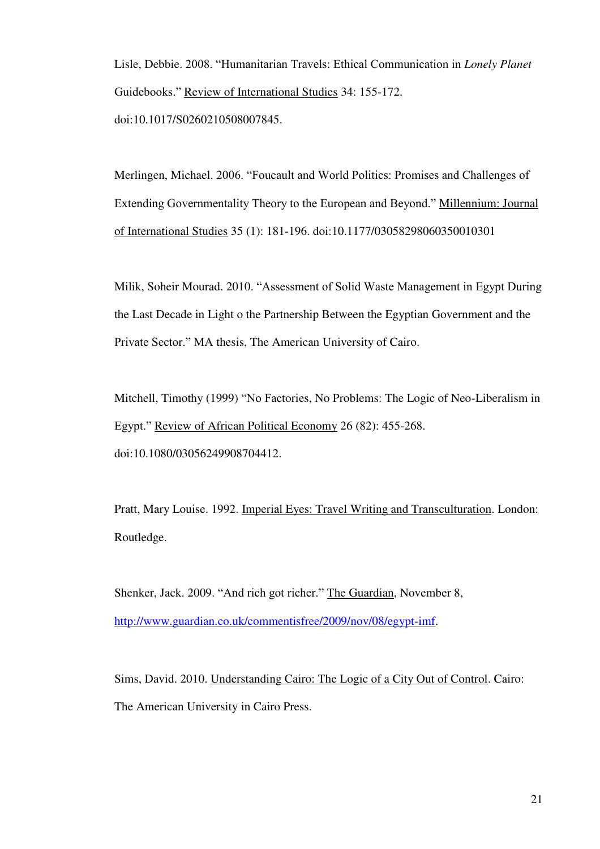Lisle, Debbie. 2008. "Humanitarian Travels: Ethical Communication in *Lonely Planet* Guidebooks." Review of International Studies 34: 155-172. doi:10.1017/S0260210508007845.

Merlingen, Michael. 2006. "Foucault and World Politics: Promises and Challenges of Extending Governmentality Theory to the European and Beyond." Millennium: Journal of International Studies 35 (1): 181-196. doi:10.1177/03058298060350010301

Milik, Soheir Mourad. 2010. "Assessment of Solid Waste Management in Egypt During the Last Decade in Light o the Partnership Between the Egyptian Government and the Private Sector." MA thesis, The American University of Cairo.

Mitchell, Timothy (1999) "No Factories, No Problems: The Logic of Neo-Liberalism in Egypt." Review of African Political Economy 26 (82): 455-268. doi:10.1080/03056249908704412.

Pratt, Mary Louise. 1992. Imperial Eyes: Travel Writing and Transculturation. London: Routledge.

Shenker, Jack. 2009. "And rich got richer." The Guardian, November 8, <http://www.guardian.co.uk/commentisfree/2009/nov/08/egypt-imf>.

Sims, David. 2010. Understanding Cairo: The Logic of a City Out of Control. Cairo: The American University in Cairo Press.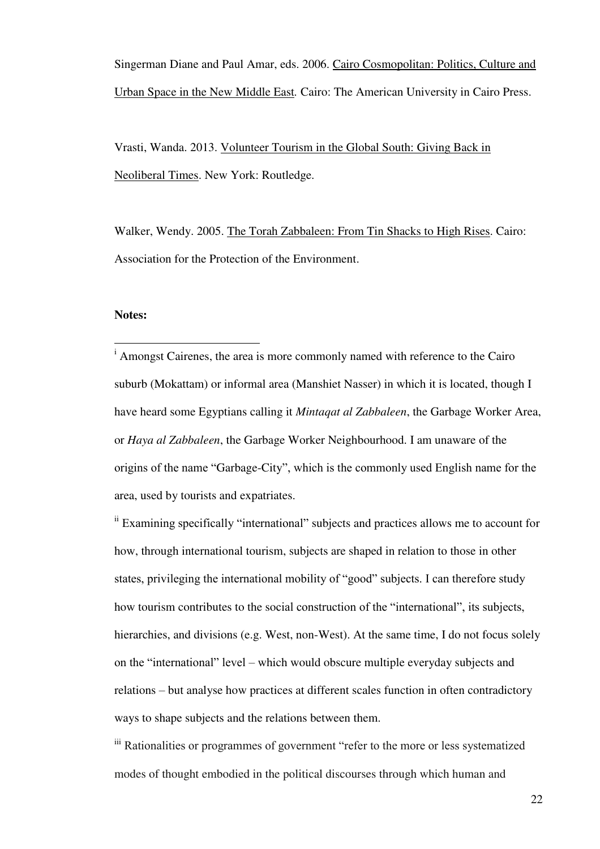Singerman Diane and Paul Amar, eds. 2006. Cairo Cosmopolitan: Politics, Culture and Urban Space in the New Middle East*.* Cairo: The American University in Cairo Press.

Vrasti, Wanda. 2013. Volunteer Tourism in the Global South: Giving Back in Neoliberal Times. New York: Routledge.

Walker, Wendy. 2005. The Torah Zabbaleen: From Tin Shacks to High Rises. Cairo: Association for the Protection of the Environment.

#### **Notes:**

 $\overline{\phantom{a}}$ 

<sup>i</sup> Amongst Cairenes, the area is more commonly named with reference to the Cairo suburb (Mokattam) or informal area (Manshiet Nasser) in which it is located, though I have heard some Egyptians calling it *Mintaqat al Zabbaleen*, the Garbage Worker Area, or *Haya al Zabbaleen*, the Garbage Worker Neighbourhood. I am unaware of the origins of the name "Garbage-City", which is the commonly used English name for the area, used by tourists and expatriates.

ii Examining specifically "international" subjects and practices allows me to account for how, through international tourism, subjects are shaped in relation to those in other states, privileging the international mobility of "good" subjects. I can therefore study how tourism contributes to the social construction of the "international", its subjects, hierarchies, and divisions (e.g. West, non-West). At the same time, I do not focus solely on the "international" level – which would obscure multiple everyday subjects and relations – but analyse how practices at different scales function in often contradictory ways to shape subjects and the relations between them.

iii Rationalities or programmes of government "refer to the more or less systematized modes of thought embodied in the political discourses through which human and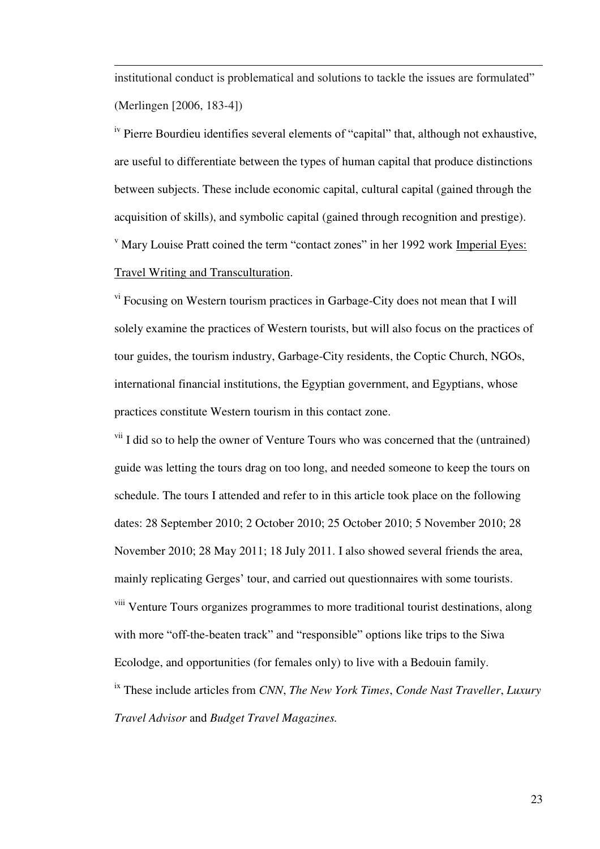institutional conduct is problematical and solutions to tackle the issues are formulated" (Merlingen [2006, 183-4])

 $\overline{a}$ 

<sup>iv</sup> Pierre Bourdieu identifies several elements of "capital" that, although not exhaustive, are useful to differentiate between the types of human capital that produce distinctions between subjects. These include economic capital, cultural capital (gained through the acquisition of skills), and symbolic capital (gained through recognition and prestige). <sup>v</sup> Mary Louise Pratt coined the term "contact zones" in her 1992 work Imperial Eyes: Travel Writing and Transculturation.

vi Focusing on Western tourism practices in Garbage-City does not mean that I will solely examine the practices of Western tourists, but will also focus on the practices of tour guides, the tourism industry, Garbage-City residents, the Coptic Church, NGOs, international financial institutions, the Egyptian government, and Egyptians, whose practices constitute Western tourism in this contact zone.

<sup>vii</sup> I did so to help the owner of Venture Tours who was concerned that the (untrained) guide was letting the tours drag on too long, and needed someone to keep the tours on schedule. The tours I attended and refer to in this article took place on the following dates: 28 September 2010; 2 October 2010; 25 October 2010; 5 November 2010; 28 November 2010; 28 May 2011; 18 July 2011. I also showed several friends the area, mainly replicating Gerges' tour, and carried out questionnaires with some tourists. <sup>viii</sup> Venture Tours organizes programmes to more traditional tourist destinations, along with more "off-the-beaten track" and "responsible" options like trips to the Siwa Ecolodge, and opportunities (for females only) to live with a Bedouin family. ix These include articles from *CNN*, *The New York Times*, *Conde Nast Traveller*, *Luxury* 

*Travel Advisor* and *Budget Travel Magazines.*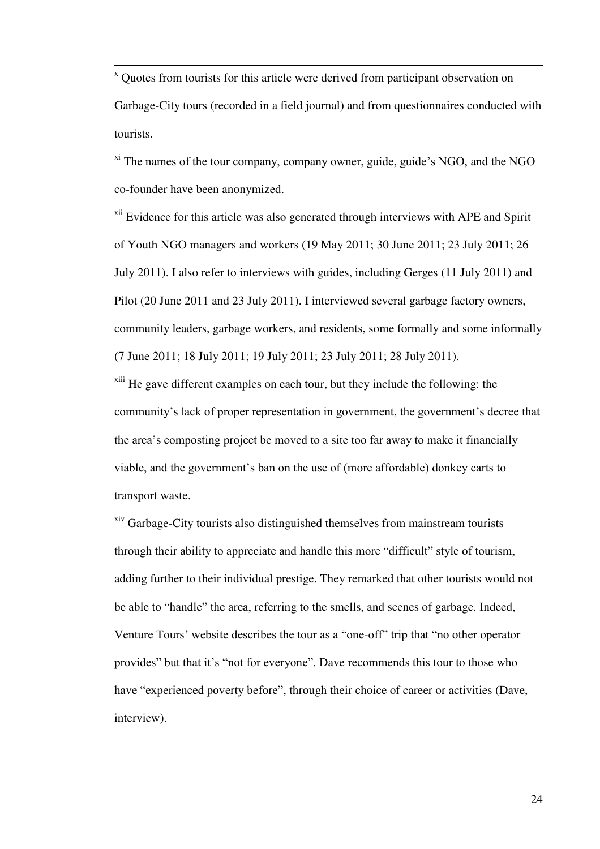x Quotes from tourists for this article were derived from participant observation on Garbage-City tours (recorded in a field journal) and from questionnaires conducted with tourists.

 $x_i$ <sup>xi</sup> The names of the tour company, company owner, guide, guide's NGO, and the NGO co-founder have been anonymized.

<sup>xii</sup> Evidence for this article was also generated through interviews with APE and Spirit of Youth NGO managers and workers (19 May 2011; 30 June 2011; 23 July 2011; 26 July 2011). I also refer to interviews with guides, including Gerges (11 July 2011) and Pilot (20 June 2011 and 23 July 2011). I interviewed several garbage factory owners, community leaders, garbage workers, and residents, some formally and some informally (7 June 2011; 18 July 2011; 19 July 2011; 23 July 2011; 28 July 2011).

 $x$ <sup>xiii</sup> He gave different examples on each tour, but they include the following: the community's lack of proper representation in government, the government's decree that the area's composting project be moved to a site too far away to make it financially viable, and the government's ban on the use of (more affordable) donkey carts to transport waste.

xiv Garbage-City tourists also distinguished themselves from mainstream tourists through their ability to appreciate and handle this more "difficult" style of tourism, adding further to their individual prestige. They remarked that other tourists would not be able to "handle" the area, referring to the smells, and scenes of garbage. Indeed, Venture Tours' website describes the tour as a "one-off" trip that "no other operator provides" but that it's "not for everyone". Dave recommends this tour to those who have "experienced poverty before", through their choice of career or activities (Dave, interview).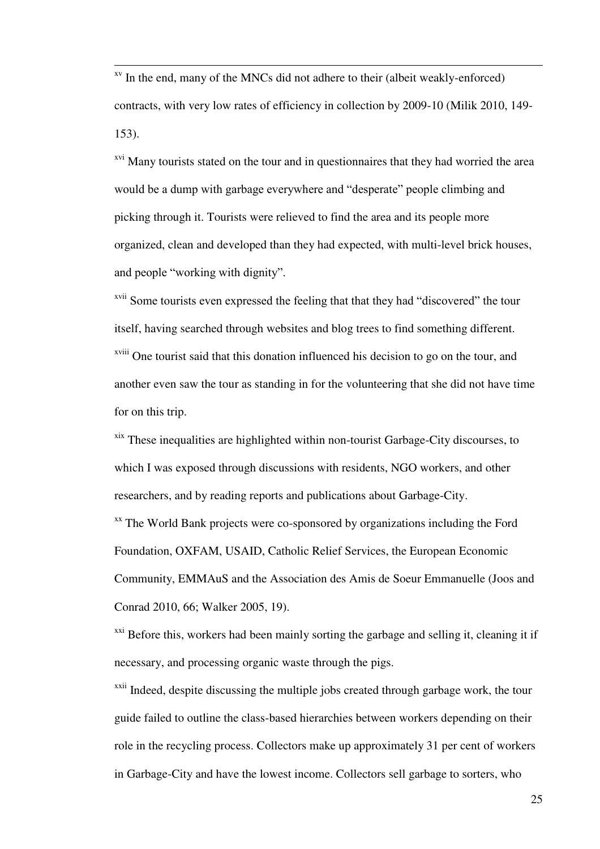$\overline{a}$ <sup>xv</sup> In the end, many of the MNCs did not adhere to their (albeit weakly-enforced) contracts, with very low rates of efficiency in collection by 2009-10 (Milik 2010, 149- 153).

<sup>xvi</sup> Many tourists stated on the tour and in questionnaires that they had worried the area would be a dump with garbage everywhere and "desperate" people climbing and picking through it. Tourists were relieved to find the area and its people more organized, clean and developed than they had expected, with multi-level brick houses, and people "working with dignity".

xvii Some tourists even expressed the feeling that that they had "discovered" the tour itself, having searched through websites and blog trees to find something different. xviii One tourist said that this donation influenced his decision to go on the tour, and another even saw the tour as standing in for the volunteering that she did not have time for on this trip.

 $x$ <sup>xix</sup> These inequalities are highlighted within non-tourist Garbage-City discourses, to which I was exposed through discussions with residents, NGO workers, and other researchers, and by reading reports and publications about Garbage-City.

xx The World Bank projects were co-sponsored by organizations including the Ford Foundation, OXFAM, USAID, Catholic Relief Services, the European Economic Community, EMMAuS and the Association des Amis de Soeur Emmanuelle (Joos and Conrad 2010, 66; Walker 2005, 19).

<sup>xxi</sup> Before this, workers had been mainly sorting the garbage and selling it, cleaning it if necessary, and processing organic waste through the pigs.

<sup>xxii</sup> Indeed, despite discussing the multiple jobs created through garbage work, the tour guide failed to outline the class-based hierarchies between workers depending on their role in the recycling process. Collectors make up approximately 31 per cent of workers in Garbage-City and have the lowest income. Collectors sell garbage to sorters, who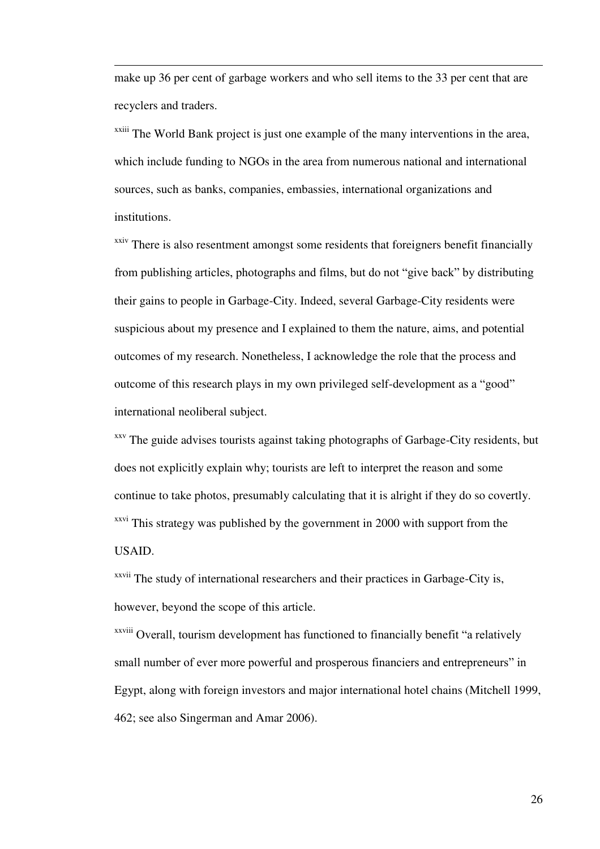make up 36 per cent of garbage workers and who sell items to the 33 per cent that are recyclers and traders.

 $\overline{a}$ 

<sup>xxiii</sup> The World Bank project is just one example of the many interventions in the area, which include funding to NGOs in the area from numerous national and international sources, such as banks, companies, embassies, international organizations and institutions.

<sup>xxiv</sup> There is also resentment amongst some residents that foreigners benefit financially from publishing articles, photographs and films, but do not "give back" by distributing their gains to people in Garbage-City. Indeed, several Garbage-City residents were suspicious about my presence and I explained to them the nature, aims, and potential outcomes of my research. Nonetheless, I acknowledge the role that the process and outcome of this research plays in my own privileged self-development as a "good" international neoliberal subject.

<sup>xxv</sup> The guide advises tourists against taking photographs of Garbage-City residents, but does not explicitly explain why; tourists are left to interpret the reason and some continue to take photos, presumably calculating that it is alright if they do so covertly. <sup>xxvi</sup> This strategy was published by the government in 2000 with support from the USAID.

<sup>xxvii</sup> The study of international researchers and their practices in Garbage-City is, however, beyond the scope of this article.

xxviii Overall, tourism development has functioned to financially benefit "a relatively small number of ever more powerful and prosperous financiers and entrepreneurs" in Egypt, along with foreign investors and major international hotel chains (Mitchell 1999, 462; see also Singerman and Amar 2006).